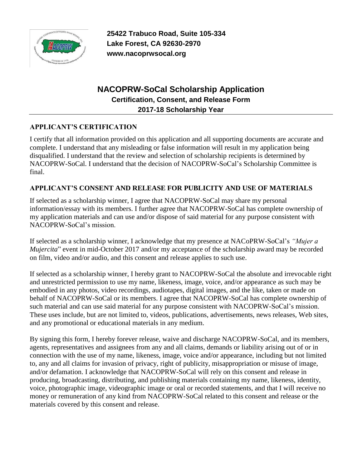

**25422 Trabuco Road, Suite 105-334 Lake Forest, CA 92630-2970 www.nacoprwsocal.org**

## **NACOPRW-SoCal Scholarship Application Certification, Consent, and Release Form 2017-18 Scholarship Year**

## **APPLICANT'S CERTIFICATION**

I certify that all information provided on this application and all supporting documents are accurate and complete. I understand that any misleading or false information will result in my application being disqualified. I understand that the review and selection of scholarship recipients is determined by NACOPRW-SoCal. I understand that the decision of NACOPRW-SoCal's Scholarship Committee is final.

## **APPLICANT'S CONSENT AND RELEASE FOR PUBLICITY AND USE OF MATERIALS**

If selected as a scholarship winner, I agree that NACOPRW-SoCal may share my personal information/essay with its members. I further agree that NACOPRW-SoCal has complete ownership of my application materials and can use and/or dispose of said material for any purpose consistent with NACOPRW-SoCal's mission.

If selected as a scholarship winner, I acknowledge that my presence at NACoPRW-SoCal's *"Mujer a Mujercita*" event in mid-October 2017 and/or my acceptance of the scholarship award may be recorded on film, video and/or audio, and this consent and release applies to such use.

If selected as a scholarship winner, I hereby grant to NACOPRW-SoCal the absolute and irrevocable right and unrestricted permission to use my name, likeness, image, voice, and/or appearance as such may be embodied in any photos, video recordings, audiotapes, digital images, and the like, taken or made on behalf of NACOPRW-SoCal or its members. I agree that NACOPRW-SoCal has complete ownership of such material and can use said material for any purpose consistent with NACOPRW-SoCal's mission. These uses include, but are not limited to, videos, publications, advertisements, news releases, Web sites, and any promotional or educational materials in any medium.

By signing this form, I hereby forever release, waive and discharge NACOPRW-SoCal, and its members, agents, representatives and assignees from any and all claims, demands or liability arising out of or in connection with the use of my name, likeness, image, voice and/or appearance, including but not limited to, any and all claims for invasion of privacy, right of publicity, misappropriation or misuse of image, and/or defamation. I acknowledge that NACOPRW-SoCal will rely on this consent and release in producing, broadcasting, distributing, and publishing materials containing my name, likeness, identity, voice, photographic image, videographic image or oral or recorded statements, and that I will receive no money or remuneration of any kind from NACOPRW-SoCal related to this consent and release or the materials covered by this consent and release.